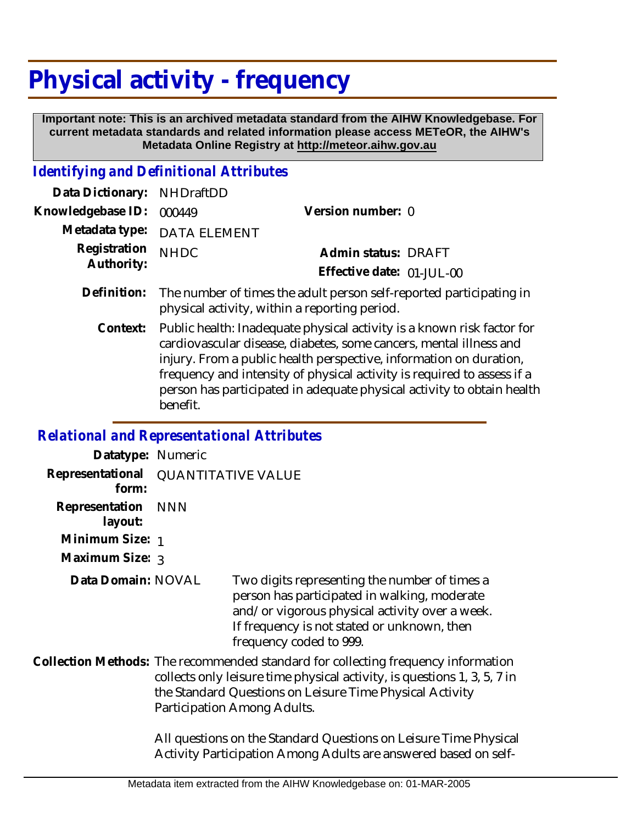## **Physical activity - frequency**

 **Important note: This is an archived metadata standard from the AIHW Knowledgebase. For current metadata standards and related information please access METeOR, the AIHW's Metadata Online Registry at http://meteor.aihw.gov.au**

## *Identifying and Definitional Attributes*

| Data Dictionary: NHDraftDD      |                             |                           |  |
|---------------------------------|-----------------------------|---------------------------|--|
| Knowledgebase ID: 000449        |                             | Version number: 0         |  |
|                                 | Metadata type: DATA ELEMENT |                           |  |
| Registration NHDC<br>Authority: |                             | Admin status: DRAFT       |  |
|                                 |                             | Effective date: 01-JUL-00 |  |
|                                 |                             |                           |  |

- The number of times the adult person self-reported participating in physical activity, within a reporting period. **Definition:**
	- Public health: Inadequate physical activity is a known risk factor for cardiovascular disease, diabetes, some cancers, mental illness and injury. From a public health perspective, information on duration, frequency and intensity of physical activity is required to assess if a person has participated in adequate physical activity to obtain health benefit. **Context:**

## *Relational and Representational Attributes*

| Datatype: Numeric         |                                                                                                                                                                                                                                                          |                                                                                                                                                                                                                           |
|---------------------------|----------------------------------------------------------------------------------------------------------------------------------------------------------------------------------------------------------------------------------------------------------|---------------------------------------------------------------------------------------------------------------------------------------------------------------------------------------------------------------------------|
| Representational<br>form: | <b>QUANTITATIVE VALUE</b>                                                                                                                                                                                                                                |                                                                                                                                                                                                                           |
| Representation<br>layout: | <b>NNN</b>                                                                                                                                                                                                                                               |                                                                                                                                                                                                                           |
| Minimum Size: 1           |                                                                                                                                                                                                                                                          |                                                                                                                                                                                                                           |
| Maximum Size: 3           |                                                                                                                                                                                                                                                          |                                                                                                                                                                                                                           |
| Data Domain: NOVAL        |                                                                                                                                                                                                                                                          | Two digits representing the number of times a<br>person has participated in walking, moderate<br>and/or vigorous physical activity over a week.<br>If frequency is not stated or unknown, then<br>frequency coded to 999. |
|                           | Collection Methods: The recommended standard for collecting frequency information<br>collects only leisure time physical activity, is questions 1, 3, 5, 7 in<br>the Standard Questions on Leisure Time Physical Activity<br>Participation Among Adults. |                                                                                                                                                                                                                           |
|                           |                                                                                                                                                                                                                                                          | All questions on the Standard Questions on Leisure Time Physical<br>Activity Participation Among Adults are answered based on self-                                                                                       |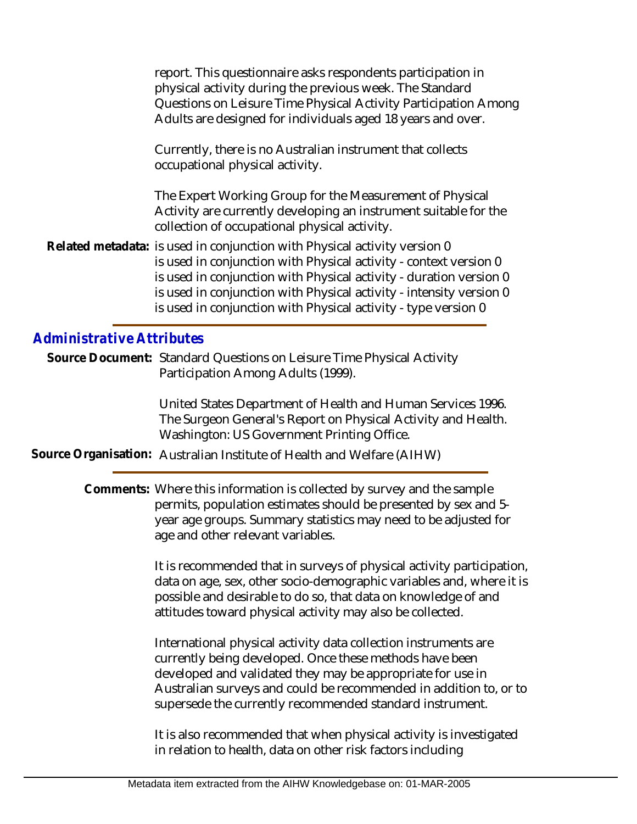report. This questionnaire asks respondents participation in physical activity during the previous week. The Standard Questions on Leisure Time Physical Activity Participation Among Adults are designed for individuals aged 18 years and over.

Currently, there is no Australian instrument that collects occupational physical activity.

The Expert Working Group for the Measurement of Physical Activity are currently developing an instrument suitable for the collection of occupational physical activity.

Related metadata: is used in conjunction with Physical activity version 0 is used in conjunction with Physical activity - context version 0 is used in conjunction with Physical activity - duration version 0 is used in conjunction with Physical activity - intensity version 0 is used in conjunction with Physical activity - type version 0

## *Administrative Attributes*

Source Document: Standard Questions on Leisure Time Physical Activity Participation Among Adults (1999).

> United States Department of Health and Human Services 1996. The Surgeon General's Report on Physical Activity and Health. Washington: US Government Printing Office.

**Source Organisation:** Australian Institute of Health and Welfare (AIHW)

Comments: Where this information is collected by survey and the sample permits, population estimates should be presented by sex and 5 year age groups. Summary statistics may need to be adjusted for age and other relevant variables.

> It is recommended that in surveys of physical activity participation, data on age, sex, other socio-demographic variables and, where it is possible and desirable to do so, that data on knowledge of and attitudes toward physical activity may also be collected.

> International physical activity data collection instruments are currently being developed. Once these methods have been developed and validated they may be appropriate for use in Australian surveys and could be recommended in addition to, or to supersede the currently recommended standard instrument.

It is also recommended that when physical activity is investigated in relation to health, data on other risk factors including